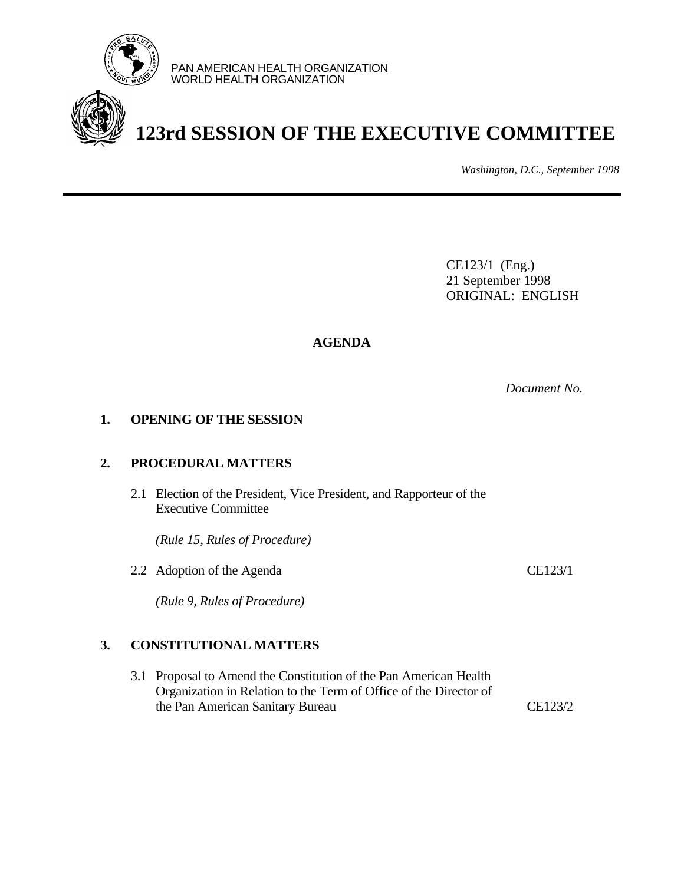

PAN AMERICAN HEALTH ORGANIZATION WORLD HEALTH ORGANIZATION

# **123rd SESSION OF THE EXECUTIVE COMMITTEE**

*Washington, D.C., September 1998*

CE123/1 (Eng.) 21 September 1998 ORIGINAL: ENGLISH

# **AGENDA**

*Document No.*

### **1. OPENING OF THE SESSION**

### **2. PROCEDURAL MATTERS**

2.1 Election of the President, Vice President, and Rapporteur of the Executive Committee

*(Rule 15, Rules of Procedure)*

2.2 Adoption of the Agenda CE123/1

*(Rule 9, Rules of Procedure)*

# **3. CONSTITUTIONAL MATTERS**

3.1 Proposal to Amend the Constitution of the Pan American Health Organization in Relation to the Term of Office of the Director of the Pan American Sanitary Bureau CE123/2